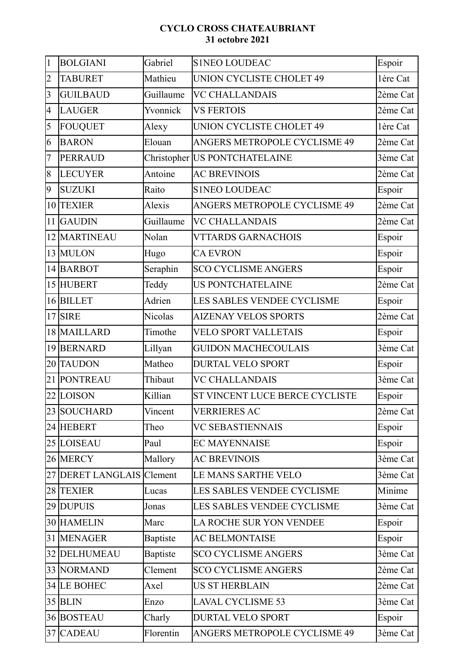## **CYCLO CROSS CHATEAUBRIANT 31 octobre 2021**

| $\vert$ 1                | <b>BOLGIANI</b>           | Gabriel         | <b>S1NEO LOUDEAC</b>           | Espoir   |
|--------------------------|---------------------------|-----------------|--------------------------------|----------|
| $\overline{2}$           | <b>TABURET</b>            | Mathieu         | UNION CYCLISTE CHOLET 49       | 1ère Cat |
| $\overline{\mathbf{3}}$  | <b>GUILBAUD</b>           | Guillaume       | <b>VC CHALLANDAIS</b>          | 2ème Cat |
| $\overline{\mathcal{A}}$ | <b>LAUGER</b>             | Yvonnick        | <b>VS FERTOIS</b>              | 2ème Cat |
| $\overline{5}$           | FOUQUET                   | Alexy           | UNION CYCLISTE CHOLET 49       | 1ère Cat |
| 6                        | <b>BARON</b>              | Elouan          | ANGERS METROPOLE CYCLISME 49   | 2ème Cat |
| 7                        | PERRAUD                   |                 | Christopher US PONTCHATELAINE  | 3ème Cat |
| $\overline{8}$           | <b>LECUYER</b>            | Antoine         | <b>AC BREVINOIS</b>            | 2ème Cat |
| $\overline{9}$           | <b>SUZUKI</b>             | Raito           | <b>S1NEO LOUDEAC</b>           | Espoir   |
|                          | 10 TEXIER                 | Alexis          | ANGERS METROPOLE CYCLISME 49   | 2ème Cat |
|                          | 11 GAUDIN                 | Guillaume       | <b>VC CHALLANDAIS</b>          | 2ème Cat |
|                          | 12 MARTINEAU              | Nolan           | <b>VTTARDS GARNACHOIS</b>      | Espoir   |
|                          | 13 MULON                  | Hugo            | <b>CA EVRON</b>                | Espoir   |
|                          | 14 BARBOT                 | Seraphin        | <b>SCO CYCLISME ANGERS</b>     | Espoir   |
|                          | 15 HUBERT                 | Teddy           | <b>US PONTCHATELAINE</b>       | 2ème Cat |
|                          | 16 BILLET                 | Adrien          | LES SABLES VENDEE CYCLISME     | Espoir   |
|                          | $17$ SIRE                 | Nicolas         | <b>AIZENAY VELOS SPORTS</b>    | 2ème Cat |
|                          | 18 MAILLARD               | Timothe         | <b>VELO SPORT VALLETAIS</b>    | Espoir   |
|                          | 19 BERNARD                | Lillyan         | <b>GUIDON MACHECOULAIS</b>     | 3ème Cat |
|                          | 20 TAUDON                 | Matheo          | <b>DURTAL VELO SPORT</b>       | Espoir   |
|                          | 21 PONTREAU               | Thibaut         | <b>VC CHALLANDAIS</b>          | 3ème Cat |
|                          | 22 LOISON                 | Killian         | ST VINCENT LUCE BERCE CYCLISTE | Espoir   |
|                          | 23 SOUCHARD               | Vincent         | <b>VERRIERES AC</b>            | 2ème Cat |
|                          | 24 HEBERT                 | Theo            | <b>VC SEBASTIENNAIS</b>        | Espoir   |
|                          | 25 LOISEAU                | Paul            | <b>EC MAYENNAISE</b>           | Espoir   |
|                          | 26 MERCY                  | Mallory         | <b>AC BREVINOIS</b>            | 3ème Cat |
|                          | 27 DERET LANGLAIS Clement |                 | LE MANS SARTHE VELO            | 3ème Cat |
|                          | 28 TEXIER                 | Lucas           | LES SABLES VENDEE CYCLISME     | Minime   |
|                          | 29 DUPUIS                 | Jonas           | LES SABLES VENDEE CYCLISME     | 3ème Cat |
|                          | 30 HAMELIN                | Marc            | LA ROCHE SUR YON VENDEE        | Espoir   |
|                          | 31 MENAGER                | <b>Baptiste</b> | <b>AC BELMONTAISE</b>          | Espoir   |
|                          | 32 DELHUMEAU              | <b>Baptiste</b> | <b>SCO CYCLISME ANGERS</b>     | 3ème Cat |
|                          | 33 NORMAND                | Clement         | <b>SCO CYCLISME ANGERS</b>     | 2ème Cat |
|                          | 34 LE BOHEC               | Axel            | <b>US ST HERBLAIN</b>          | 2ème Cat |
|                          | $35$ BLIN                 | Enzo            | <b>LAVAL CYCLISME 53</b>       | 3ème Cat |
|                          | 36 BOSTEAU                | Charly          | <b>DURTAL VELO SPORT</b>       | Espoir   |
|                          | 37 CADEAU                 | Florentin       | ANGERS METROPOLE CYCLISME 49   | 3ème Cat |